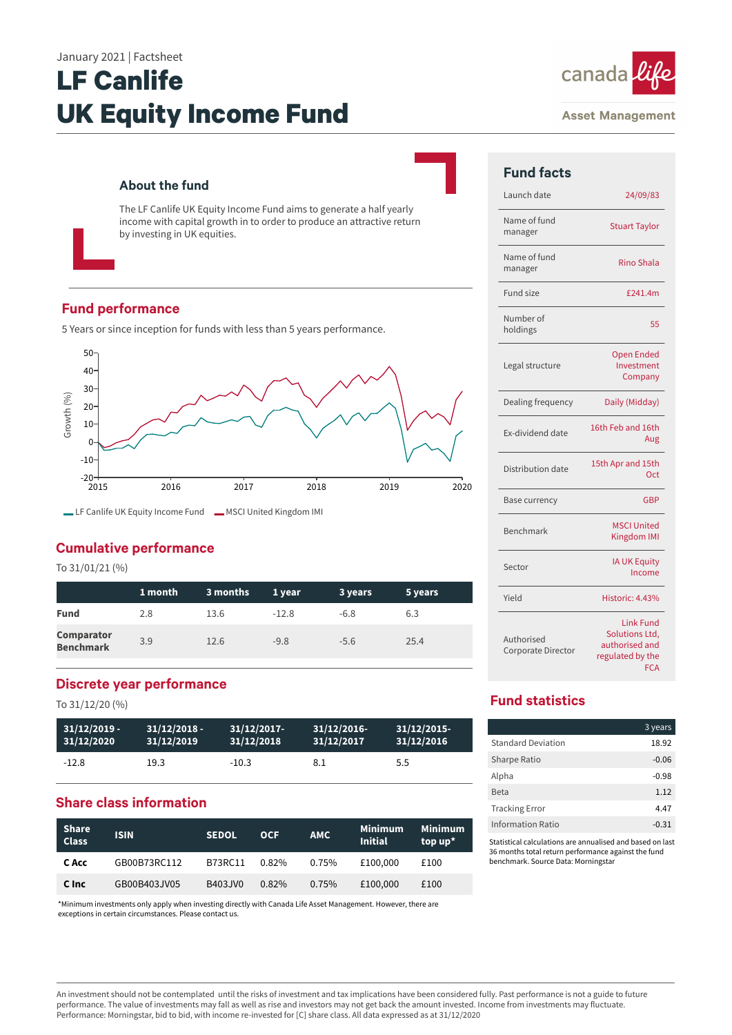# **LF Canlife UK Equity Income Fund**

#### **About the fund**

The LF Canlife UK Equity Income Fund aims to generate a half yearly income with capital growth in to order to produce an attractive return by investing in UK equities.

#### **Fund performance**

5 Years or since inception for funds with less than 5 years performance.



## **Cumulative performance**

To 31/01/21 (%)

|                                       | 1 month | 3 months | 1 year  | 3 years | 5 years |
|---------------------------------------|---------|----------|---------|---------|---------|
| <b>Fund</b>                           | 2.8     | 13.6     | $-12.8$ | $-6.8$  | 6.3     |
| <b>Comparator</b><br><b>Benchmark</b> | 3.9     | 12.6     | $-9.8$  | $-5.6$  | 25.4    |

## **Discrete year performance**

To 31/12/20 (%)

| $31/12/2019 -$ | $31/12/2018 -$ | $31/12/2017$ - | 31/12/2016- | $31/12/2015$ - |
|----------------|----------------|----------------|-------------|----------------|
| 31/12/2020     | 31/12/2019     | 31/12/2018     | 31/12/2017  | 31/12/2016     |
| $-12.8$        | 19.3           | $-10.3$        | 8.1         | 5.5            |

# **Share class information**

| <b>Share</b><br><b>Class</b> | <b>ISIN</b>  | <b>SEDOL</b> | <b>OCF</b> | <b>AMC</b> | <b>Minimum</b><br><b>Initial</b> | Minimum<br>top $up^*$ |
|------------------------------|--------------|--------------|------------|------------|----------------------------------|-----------------------|
| C Acc                        | GB00B73RC112 | B73RC11      | $0.82\%$   | $0.75\%$   | £100,000                         | £100                  |
| C Inc                        | GB00B403JV05 | B403JV0      | 0.82%      | $0.75\%$   | £100,000                         | £100                  |

\*Minimum investments only apply when investing directly with Canada Life Asset Management. However, there are exceptions in certain circumstances. Please contact us.

#### **Asset Management**

canada

| <b>Fund facts</b>                |                                                                                        |
|----------------------------------|----------------------------------------------------------------------------------------|
| Launch date                      | 24/09/83                                                                               |
| Name of fund<br>manager          | <b>Stuart Taylor</b>                                                                   |
| Name of fund<br>manager          | <b>Rino Shala</b>                                                                      |
| <b>Fund size</b>                 | £241.4m                                                                                |
| Number of<br>holdings            | 55                                                                                     |
| Legal structure                  | <b>Open Ended</b><br>Investment<br>Company                                             |
| Dealing frequency                | Daily (Midday)                                                                         |
| Ex-dividend date                 | 16th Feb and 16th<br>Aug                                                               |
| Distribution date                | 15th Apr and 15th<br>Oct                                                               |
| <b>Base currency</b>             | GBP                                                                                    |
| Benchmark                        | <b>MSCI United</b><br>Kingdom IMI                                                      |
| Sector                           | <b>IA UK Equity</b><br>Income                                                          |
| Yield                            | Historic: 4.43%                                                                        |
| Authorised<br>Corporate Director | <b>Link Fund</b><br>Solutions Ltd,<br>authorised and<br>regulated by the<br><b>FCA</b> |

## **Fund statistics**

|                           | 3 years |
|---------------------------|---------|
| <b>Standard Deviation</b> | 18.92   |
| Sharpe Ratio              | $-0.06$ |
| Alpha                     | $-0.98$ |
| Beta                      | 1.12    |
| <b>Tracking Error</b>     | 4.47    |
| <b>Information Ratio</b>  | $-0.31$ |

Statistical calculations are annualised and based on last 36 months total return performance against the fund benchmark. Source Data: Morningstar

An investment should not be contemplated until the risks of investment and tax implications have been considered fully. Past performance is not a guide to future performance. The value of investments may fall as well as rise and investors may not get back the amount invested. Income from investments may fluctuate. Performance: Morningstar, bid to bid, with income re-invested for [C] share class. All data expressed as at 31/12/2020